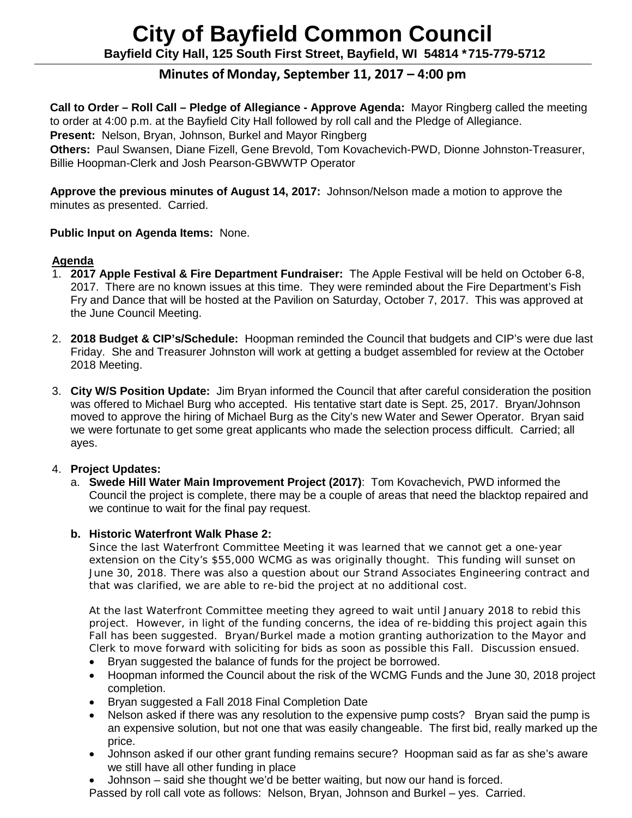# **City of Bayfield Common Council Bayfield City Hall, 125 South First Street, Bayfield, WI 54814 \*715-779-5712**

# **Minutes of Monday, September 11, 2017 – 4:00 pm**

 **Call to Order – Roll Call – Pledge of Allegiance - Approve Agenda:** Mayor Ringberg called the meeting to order at 4:00 p.m. at the Bayfield City Hall followed by roll call and the Pledge of Allegiance.

**Present:** Nelson, Bryan, Johnson, Burkel and Mayor Ringberg

 **Others:** Paul Swansen, Diane Fizell, Gene Brevold, Tom Kovachevich-PWD, Dionne Johnston-Treasurer, Billie Hoopman-Clerk and Josh Pearson-GBWWTP Operator

 **Approve the previous minutes of August 14, 2017:** Johnson/Nelson made a motion to approve the minutes as presented. Carried.

# **Public Input on Agenda Items:** None.

# **Agenda**

- 1. **2017 Apple Festival & Fire Department Fundraiser:** The Apple Festival will be held on October 6-8, 2017. There are no known issues at this time. They were reminded about the Fire Department's Fish Fry and Dance that will be hosted at the Pavilion on Saturday, October 7, 2017. This was approved at the June Council Meeting.
- 2. **2018 Budget & CIP's/Schedule:** Hoopman reminded the Council that budgets and CIP's were due last Friday. She and Treasurer Johnston will work at getting a budget assembled for review at the October 2018 Meeting.
- 3. **City W/S Position Update:** Jim Bryan informed the Council that after careful consideration the position was offered to Michael Burg who accepted. His tentative start date is Sept. 25, 2017. Bryan/Johnson moved to approve the hiring of Michael Burg as the City's new Water and Sewer Operator. Bryan said we were fortunate to get some great applicants who made the selection process difficult. Carried; all ayes.

# 4. **Project Updates:**

a. **Swede Hill Water Main Improvement Project (2017)**: Tom Kovachevich, PWD informed the Council the project is complete, there may be a couple of areas that need the blacktop repaired and we continue to wait for the final pay request.

# **b. Historic Waterfront Walk Phase 2:**

Since the last Waterfront Committee Meeting it was learned that we cannot get a one-year extension on the City's \$55,000 WCMG as was originally thought. This funding will sunset on June 30, 2018. There was also a question about our Strand Associates Engineering contract and that was clarified, we are able to re-bid the project at no additional cost.

At the last Waterfront Committee meeting they agreed to wait until January 2018 to rebid this project. However, in light of the funding concerns, the idea of re-bidding this project again this Fall has been suggested. Bryan/Burkel made a motion granting authorization to the Mayor and Clerk to move forward with soliciting for bids as soon as possible this Fall. Discussion ensued.

- Bryan suggested the balance of funds for the project be borrowed.
- Hoopman informed the Council about the risk of the WCMG Funds and the June 30, 2018 project completion.
- Bryan suggested a Fall 2018 Final Completion Date
- Nelson asked if there was any resolution to the expensive pump costs? Bryan said the pump is an expensive solution, but not one that was easily changeable. The first bid, really marked up the price.
- Johnson asked if our other grant funding remains secure? Hoopman said as far as she's aware we still have all other funding in place
- Johnson said she thought we'd be better waiting, but now our hand is forced.

Passed by roll call vote as follows: Nelson, Bryan, Johnson and Burkel – yes. Carried.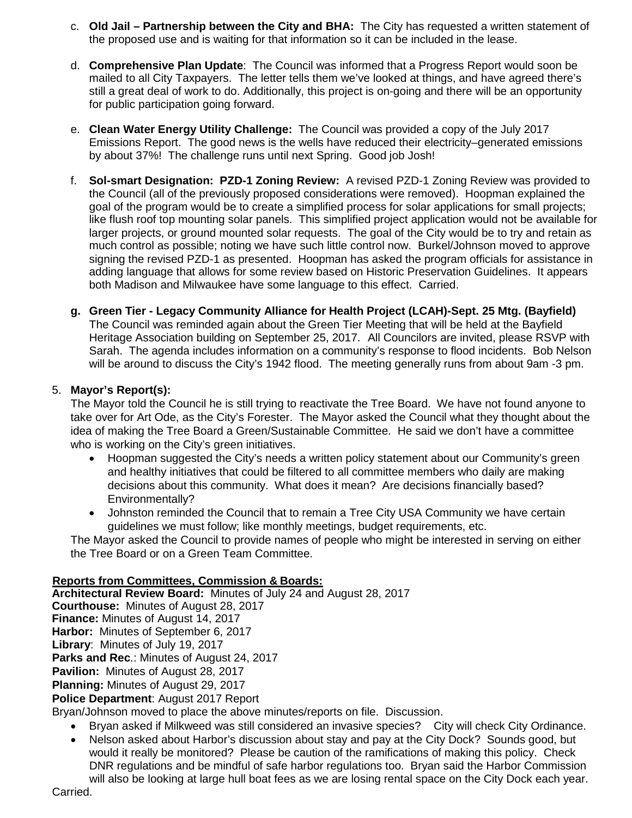- c. **Old Jail – Partnership between the City and BHA:** The City has requested a written statement of the proposed use and is waiting for that information so it can be included in the lease.
- d. **Comprehensive Plan Update**: The Council was informed that a Progress Report would soon be mailed to all City Taxpayers. The letter tells them we've looked at things, and have agreed there's still a great deal of work to do. Additionally, this project is on-going and there will be an opportunity for public participation going forward.
- e. **Clean Water Energy Utility Challenge:** The Council was provided a copy of the July 2017 Emissions Report. The good news is the wells have reduced their electricity–generated emissions by about 37%! The challenge runs until next Spring. Good job Josh!
- f. **Sol-smart Designation: PZD-1 Zoning Review:** A revised PZD-1 Zoning Review was provided to the Council (all of the previously proposed considerations were removed). Hoopman explained the goal of the program would be to create a simplified process for solar applications for small projects; like flush roof top mounting solar panels. This simplified project application would not be available for larger projects, or ground mounted solar requests. The goal of the City would be to try and retain as much control as possible; noting we have such little control now. Burkel/Johnson moved to approve signing the revised PZD-1 as presented. Hoopman has asked the program officials for assistance in adding language that allows for some review based on Historic Preservation Guidelines. It appears both Madison and Milwaukee have some language to this effect. Carried.
- **g. Green Tier - Legacy Community Alliance for Health Project (LCAH)-Sept. 25 Mtg. (Bayfield)** The Council was reminded again about the Green Tier Meeting that will be held at the Bayfield Heritage Association building on September 25, 2017. All Councilors are invited, please RSVP with Sarah. The agenda includes information on a community's response to flood incidents. Bob Nelson will be around to discuss the City's 1942 flood. The meeting generally runs from about 9am -3 pm.

# 5. **Mayor's Report(s):**

The Mayor told the Council he is still trying to reactivate the Tree Board. We have not found anyone to take over for Art Ode, as the City's Forester. The Mayor asked the Council what they thought about the idea of making the Tree Board a Green/Sustainable Committee. He said we don't have a committee who is working on the City's green initiatives.

- Hoopman suggested the City's needs a written policy statement about our Community's green and healthy initiatives that could be filtered to all committee members who daily are making decisions about this community. What does it mean? Are decisions financially based? Environmentally?
- Johnston reminded the Council that to remain a Tree City USA Community we have certain guidelines we must follow; like monthly meetings, budget requirements, etc.

The Mayor asked the Council to provide names of people who might be interested in serving on either the Tree Board or on a Green Team Committee.

#### **Reports from Committees, Commission & Boards:**

**Architectural Review Board:** Minutes of July 24 and August 28, 2017

**Courthouse:** Minutes of August 28, 2017

**Finance:** Minutes of August 14, 2017 **Harbor:** Minutes of September 6, 2017

**Library**: Minutes of July 19, 2017

**Parks and Rec**.: Minutes of August 24, 2017

**Pavilion:** Minutes of August 28, 2017

**Planning:** Minutes of August 29, 2017

**Police Department**: August 2017 Report

Bryan/Johnson moved to place the above minutes/reports on file. Discussion.

- Bryan asked if Milkweed was still considered an invasive species? City will check City Ordinance.
- Nelson asked about Harbor's discussion about stay and pay at the City Dock? Sounds good, but would it really be monitored? Please be caution of the ramifications of making this policy. Check DNR regulations and be mindful of safe harbor regulations too. Bryan said the Harbor Commission will also be looking at large hull boat fees as we are losing rental space on the City Dock each year.

Carried.